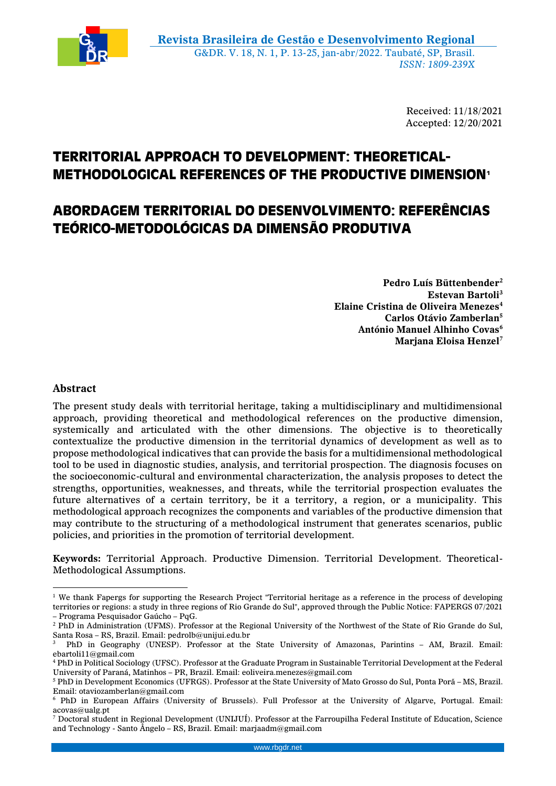

Received: 11/18/2021 Accepted: 12/20/2021

# **TERRITORIAL APPROACH TO DEVELOPMENT: THEORETICAL-METHODOLOGICAL REFERENCES OF THE PRODUCTIVE DIMENSION<sup>1</sup>**

## **ABORDAGEM TERRITORIAL DO DESENVOLVIMENTO: REFERÊNCIAS TEÓRICO-METODOLÓGICAS DA DIMENSÃO PRODUTIVA**

**Pedro Luís Büttenbender<sup>2</sup> Estevan Bartoli<sup>3</sup> Elaine Cristina de Oliveira Menezes<sup>4</sup> Carlos Otávio Zamberlan<sup>5</sup> António Manuel Alhinho Covas<sup>6</sup> Marjana Eloisa Henzel<sup>7</sup>**

## **Abstract**

1

The present study deals with territorial heritage, taking a multidisciplinary and multidimensional approach, providing theoretical and methodological references on the productive dimension, systemically and articulated with the other dimensions. The objective is to theoretically contextualize the productive dimension in the territorial dynamics of development as well as to propose methodological indicatives that can provide the basis for a multidimensional methodological tool to be used in diagnostic studies, analysis, and territorial prospection. The diagnosis focuses on the socioeconomic-cultural and environmental characterization, the analysis proposes to detect the strengths, opportunities, weaknesses, and threats, while the territorial prospection evaluates the future alternatives of a certain territory, be it a territory, a region, or a municipality. This methodological approach recognizes the components and variables of the productive dimension that may contribute to the structuring of a methodological instrument that generates scenarios, public policies, and priorities in the promotion of territorial development.

**Keywords:** Territorial Approach. Productive Dimension. Territorial Development. Theoretical-Methodological Assumptions.

 $1$  We thank Fapergs for supporting the Research Project "Territorial heritage as a reference in the process of developing territories or regions: a study in three regions of Rio Grande do Sul", approved through the Public Notice: FAPERGS 07/2021 – Programa Pesquisador Gaúcho – PqG.

<sup>2</sup> PhD in Administration (UFMS). Professor at the Regional University of the Northwest of the State of Rio Grande do Sul, Santa Rosa – RS, Brazil. Email: pedrolb@unijui.edu.br

<sup>3</sup> PhD in Geography (UNESP). Professor at the State University of Amazonas, Parintins – AM, Brazil. Email: ebartoli11@gmail.com

<sup>4</sup> PhD in Political Sociology (UFSC). Professor at the Graduate Program in Sustainable Territorial Development at the Federal University of Paraná, Matinhos – PR, Brazil. Email: eoliveira.menezes@gmail.com

<sup>5</sup> PhD in Development Economics (UFRGS). Professor at the State University of Mato Grosso do Sul, Ponta Porã – MS, Brazil. Email: otaviozamberlan@gmail.com

<sup>6</sup> PhD in European Affairs (University of Brussels). Full Professor at the University of Algarve, Portugal. Email: acovas@ualg.pt

<sup>7</sup> Doctoral student in Regional Development (UNIJUÍ). Professor at the Farroupilha Federal Institute of Education, Science and Technology - Santo Ângelo – RS, Brazil. Email: marjaadm@gmail.com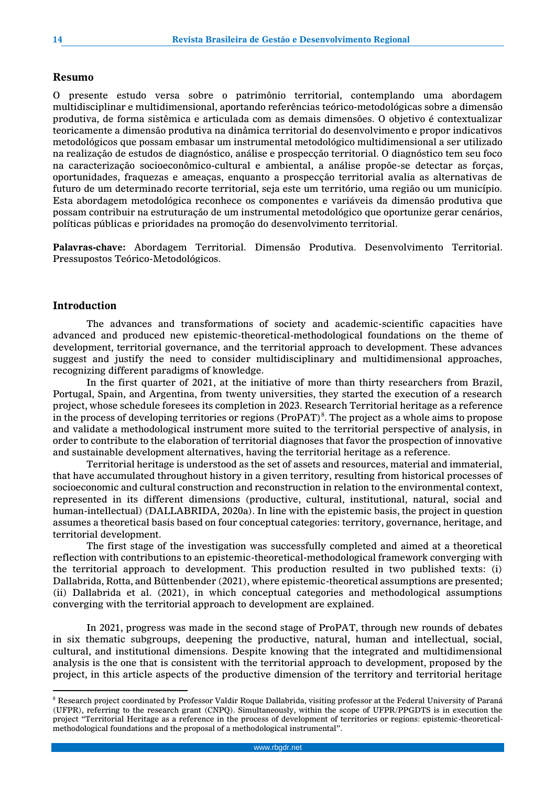#### **Resumo**

O presente estudo versa sobre o patrimônio territorial, contemplando uma abordagem multidisciplinar e multidimensional, aportando referências teórico-metodológicas sobre a dimensão produtiva, de forma sistêmica e articulada com as demais dimensões. O objetivo é contextualizar teoricamente a dimensão produtiva na dinâmica territorial do desenvolvimento e propor indicativos metodológicos que possam embasar um instrumental metodológico multidimensional a ser utilizado na realização de estudos de diagnóstico, análise e prospecção territorial. O diagnóstico tem seu foco na caracterização socioeconômico-cultural e ambiental, a análise propõe-se detectar as forças, oportunidades, fraquezas e ameaças, enquanto a prospecção territorial avalia as alternativas de futuro de um determinado recorte territorial, seja este um território, uma região ou um município. Esta abordagem metodológica reconhece os componentes e variáveis da dimensão produtiva que possam contribuir na estruturação de um instrumental metodológico que oportunize gerar cenários, políticas públicas e prioridades na promoção do desenvolvimento territorial.

**Palavras-chave:** Abordagem Territorial. Dimensão Produtiva. Desenvolvimento Territorial. Pressupostos Teórico-Metodológicos.

#### **Introduction**

<u>.</u>

The advances and transformations of society and academic-scientific capacities have advanced and produced new epistemic-theoretical-methodological foundations on the theme of development, territorial governance, and the territorial approach to development. These advances suggest and justify the need to consider multidisciplinary and multidimensional approaches, recognizing different paradigms of knowledge.

In the first quarter of 2021, at the initiative of more than thirty researchers from Brazil, Portugal, Spain, and Argentina, from twenty universities, they started the execution of a research project, whose schedule foresees its completion in 2023. Research Territorial heritage as a reference in the process of developing territories or regions  $(ProPATH)^8$ . The project as a whole aims to propose and validate a methodological instrument more suited to the territorial perspective of analysis, in order to contribute to the elaboration of territorial diagnoses that favor the prospection of innovative and sustainable development alternatives, having the territorial heritage as a reference.

Territorial heritage is understood as the set of assets and resources, material and immaterial, that have accumulated throughout history in a given territory, resulting from historical processes of socioeconomic and cultural construction and reconstruction in relation to the environmental context, represented in its different dimensions (productive, cultural, institutional, natural, social and human-intellectual) (DALLABRIDA, 2020a). In line with the epistemic basis, the project in question assumes a theoretical basis based on four conceptual categories: territory, governance, heritage, and territorial development.

The first stage of the investigation was successfully completed and aimed at a theoretical reflection with contributions to an epistemic-theoretical-methodological framework converging with the territorial approach to development. This production resulted in two published texts: (i) Dallabrida, Rotta, and Büttenbender (2021), where epistemic-theoretical assumptions are presented; (ii) Dallabrida et al. (2021), in which conceptual categories and methodological assumptions converging with the territorial approach to development are explained.

In 2021, progress was made in the second stage of ProPAT, through new rounds of debates in six thematic subgroups, deepening the productive, natural, human and intellectual, social, cultural, and institutional dimensions. Despite knowing that the integrated and multidimensional analysis is the one that is consistent with the territorial approach to development, proposed by the project, in this article aspects of the productive dimension of the territory and territorial heritage

<sup>&</sup>lt;sup>8</sup> Research project coordinated by Professor Valdir Roque Dallabrida, visiting professor at the Federal University of Paraná (UFPR), referring to the research grant (CNPQ). Simultaneously, within the scope of UFPR/PPGDTS is in execution the project "Territorial Heritage as a reference in the process of development of territories or regions: epistemic-theoreticalmethodological foundations and the proposal of a methodological instrumental".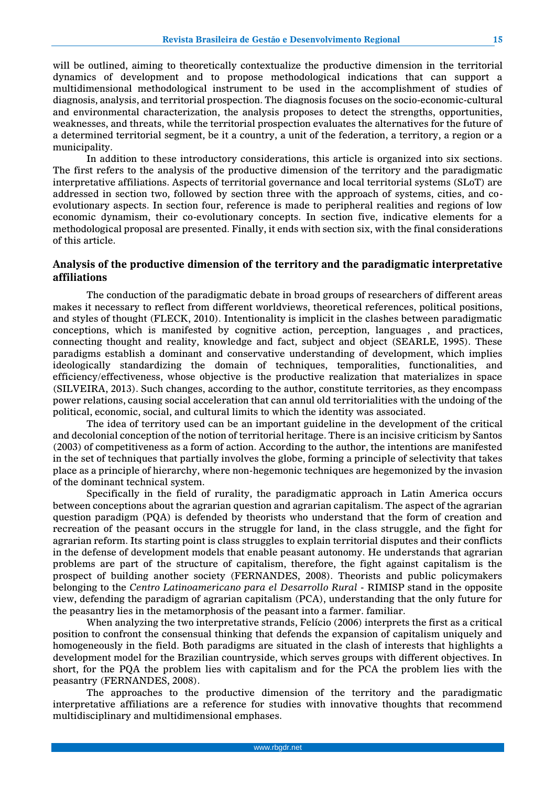will be outlined, aiming to theoretically contextualize the productive dimension in the territorial dynamics of development and to propose methodological indications that can support a multidimensional methodological instrument to be used in the accomplishment of studies of diagnosis, analysis, and territorial prospection. The diagnosis focuses on the socio-economic-cultural and environmental characterization, the analysis proposes to detect the strengths, opportunities, weaknesses, and threats, while the territorial prospection evaluates the alternatives for the future of a determined territorial segment, be it a country, a unit of the federation, a territory, a region or a municipality.

In addition to these introductory considerations, this article is organized into six sections. The first refers to the analysis of the productive dimension of the territory and the paradigmatic interpretative affiliations. Aspects of territorial governance and local territorial systems (SLoT) are addressed in section two, followed by section three with the approach of systems, cities, and coevolutionary aspects. In section four, reference is made to peripheral realities and regions of low economic dynamism, their co-evolutionary concepts. In section five, indicative elements for a methodological proposal are presented. Finally, it ends with section six, with the final considerations of this article.

### **Analysis of the productive dimension of the territory and the paradigmatic interpretative affiliations**

The conduction of the paradigmatic debate in broad groups of researchers of different areas makes it necessary to reflect from different worldviews, theoretical references, political positions, and styles of thought (FLECK, 2010). Intentionality is implicit in the clashes between paradigmatic conceptions, which is manifested by cognitive action, perception, languages , and practices, connecting thought and reality, knowledge and fact, subject and object (SEARLE, 1995). These paradigms establish a dominant and conservative understanding of development, which implies ideologically standardizing the domain of techniques, temporalities, functionalities, and efficiency/effectiveness, whose objective is the productive realization that materializes in space (SILVEIRA, 2013). Such changes, according to the author, constitute territories, as they encompass power relations, causing social acceleration that can annul old territorialities with the undoing of the political, economic, social, and cultural limits to which the identity was associated.

The idea of territory used can be an important guideline in the development of the critical and decolonial conception of the notion of territorial heritage. There is an incisive criticism by Santos (2003) of competitiveness as a form of action. According to the author, the intentions are manifested in the set of techniques that partially involves the globe, forming a principle of selectivity that takes place as a principle of hierarchy, where non-hegemonic techniques are hegemonized by the invasion of the dominant technical system.

Specifically in the field of rurality, the paradigmatic approach in Latin America occurs between conceptions about the agrarian question and agrarian capitalism. The aspect of the agrarian question paradigm (PQA) is defended by theorists who understand that the form of creation and recreation of the peasant occurs in the struggle for land, in the class struggle, and the fight for agrarian reform. Its starting point is class struggles to explain territorial disputes and their conflicts in the defense of development models that enable peasant autonomy. He understands that agrarian problems are part of the structure of capitalism, therefore, the fight against capitalism is the prospect of building another society (FERNANDES, 2008). Theorists and public policymakers belonging to the *Centro Latinoamericano para el Desarrollo Rural* - RIMISP stand in the opposite view, defending the paradigm of agrarian capitalism (PCA), understanding that the only future for the peasantry lies in the metamorphosis of the peasant into a farmer. familiar.

When analyzing the two interpretative strands, Felício (2006) interprets the first as a critical position to confront the consensual thinking that defends the expansion of capitalism uniquely and homogeneously in the field. Both paradigms are situated in the clash of interests that highlights a development model for the Brazilian countryside, which serves groups with different objectives. In short, for the PQA the problem lies with capitalism and for the PCA the problem lies with the peasantry (FERNANDES, 2008).

The approaches to the productive dimension of the territory and the paradigmatic interpretative affiliations are a reference for studies with innovative thoughts that recommend multidisciplinary and multidimensional emphases.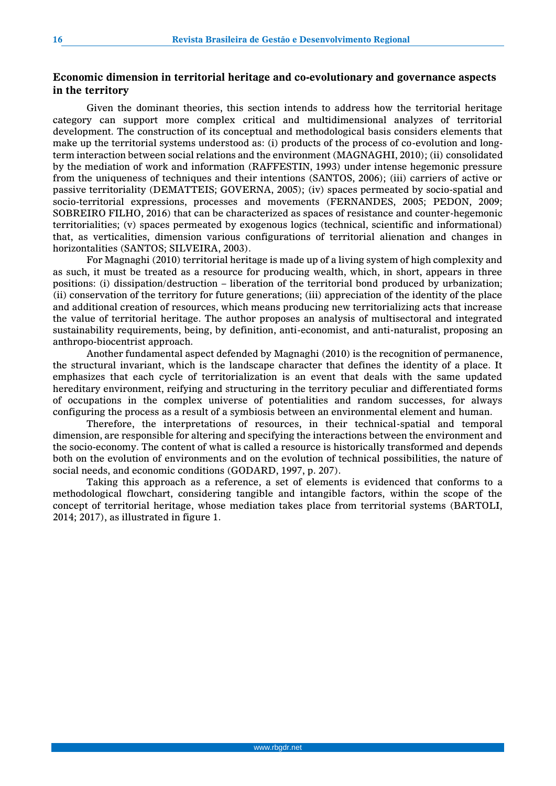## **Economic dimension in territorial heritage and co-evolutionary and governance aspects in the territory**

Given the dominant theories, this section intends to address how the territorial heritage category can support more complex critical and multidimensional analyzes of territorial development. The construction of its conceptual and methodological basis considers elements that make up the territorial systems understood as: (i) products of the process of co-evolution and longterm interaction between social relations and the environment (MAGNAGHI, 2010); (ii) consolidated by the mediation of work and information (RAFFESTIN, 1993) under intense hegemonic pressure from the uniqueness of techniques and their intentions (SANTOS, 2006); (iii) carriers of active or passive territoriality (DEMATTEIS; GOVERNA, 2005); (iv) spaces permeated by socio-spatial and socio-territorial expressions, processes and movements (FERNANDES, 2005; PEDON, 2009; SOBREIRO FILHO, 2016) that can be characterized as spaces of resistance and counter-hegemonic territorialities; (v) spaces permeated by exogenous logics (technical, scientific and informational) that, as verticalities, dimension various configurations of territorial alienation and changes in horizontalities (SANTOS; SILVEIRA, 2003).

For Magnaghi (2010) territorial heritage is made up of a living system of high complexity and as such, it must be treated as a resource for producing wealth, which, in short, appears in three positions: (i) dissipation/destruction – liberation of the territorial bond produced by urbanization; (ii) conservation of the territory for future generations; (iii) appreciation of the identity of the place and additional creation of resources, which means producing new territorializing acts that increase the value of territorial heritage. The author proposes an analysis of multisectoral and integrated sustainability requirements, being, by definition, anti-economist, and anti-naturalist, proposing an anthropo-biocentrist approach.

Another fundamental aspect defended by Magnaghi (2010) is the recognition of permanence, the structural invariant, which is the landscape character that defines the identity of a place. It emphasizes that each cycle of territorialization is an event that deals with the same updated hereditary environment, reifying and structuring in the territory peculiar and differentiated forms of occupations in the complex universe of potentialities and random successes, for always configuring the process as a result of a symbiosis between an environmental element and human.

Therefore, the interpretations of resources, in their technical-spatial and temporal dimension, are responsible for altering and specifying the interactions between the environment and the socio-economy. The content of what is called a resource is historically transformed and depends both on the evolution of environments and on the evolution of technical possibilities, the nature of social needs, and economic conditions (GODARD, 1997, p. 207).

Taking this approach as a reference, a set of elements is evidenced that conforms to a methodological flowchart, considering tangible and intangible factors, within the scope of the concept of territorial heritage, whose mediation takes place from territorial systems (BARTOLI, 2014; 2017), as illustrated in figure 1.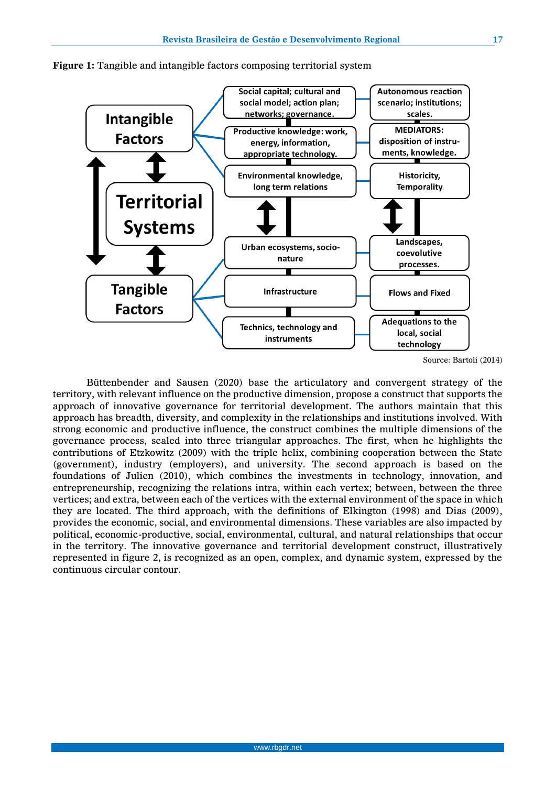

**Figure 1:** Tangible and intangible factors composing territorial system

Büttenbender and Sausen (2020) base the articulatory and convergent strategy of the territory, with relevant influence on the productive dimension, propose a construct that supports the approach of innovative governance for territorial development. The authors maintain that this approach has breadth, diversity, and complexity in the relationships and institutions involved. With strong economic and productive influence, the construct combines the multiple dimensions of the governance process, scaled into three triangular approaches. The first, when he highlights the contributions of Etzkowitz (2009) with the triple helix, combining cooperation between the State (government), industry (employers), and university. The second approach is based on the foundations of Julien (2010), which combines the investments in technology, innovation, and entrepreneurship, recognizing the relations intra, within each vertex; between, between the three vertices; and extra, between each of the vertices with the external environment of the space in which they are located. The third approach, with the definitions of Elkington (1998) and Dias (2009), provides the economic, social, and environmental dimensions. These variables are also impacted by political, economic-productive, social, environmental, cultural, and natural relationships that occur in the territory. The innovative governance and territorial development construct, illustratively represented in figure 2, is recognized as an open, complex, and dynamic system, expressed by the continuous circular contour.

Source: Bartoli (2014)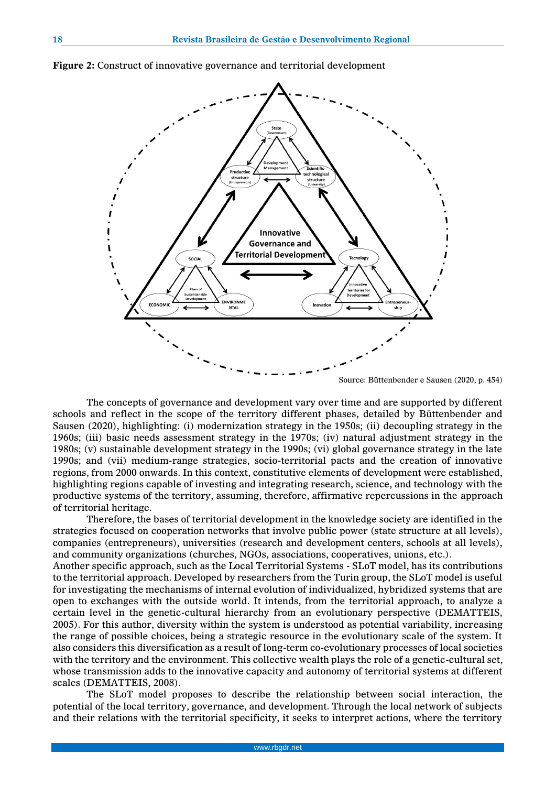

**Figure 2:** Construct of innovative governance and territorial development

Source: Büttenbender e Sausen (2020, p. 454)

The concepts of governance and development vary over time and are supported by different schools and reflect in the scope of the territory different phases, detailed by Büttenbender and Sausen (2020), highlighting: (i) modernization strategy in the 1950s; (ii) decoupling strategy in the 1960s; (iii) basic needs assessment strategy in the 1970s; (iv) natural adjustment strategy in the 1980s; (v) sustainable development strategy in the 1990s; (vi) global governance strategy in the late 1990s; and (vii) medium-range strategies, socio-territorial pacts and the creation of innovative regions, from 2000 onwards. In this context, constitutive elements of development were established, highlighting regions capable of investing and integrating research, science, and technology with the productive systems of the territory, assuming, therefore, affirmative repercussions in the approach of territorial heritage.

Therefore, the bases of territorial development in the knowledge society are identified in the strategies focused on cooperation networks that involve public power (state structure at all levels), companies (entrepreneurs), universities (research and development centers, schools at all levels), and community organizations (churches, NGOs, associations, cooperatives, unions, etc.).

Another specific approach, such as the Local Territorial Systems - SLoT model, has its contributions to the territorial approach. Developed by researchers from the Turin group, the SLoT model is useful for investigating the mechanisms of internal evolution of individualized, hybridized systems that are open to exchanges with the outside world. It intends, from the territorial approach, to analyze a certain level in the genetic-cultural hierarchy from an evolutionary perspective (DEMATTEIS, 2005). For this author, diversity within the system is understood as potential variability, increasing the range of possible choices, being a strategic resource in the evolutionary scale of the system. It also considers this diversification as a result of long-term co-evolutionary processes of local societies with the territory and the environment. This collective wealth plays the role of a genetic-cultural set, whose transmission adds to the innovative capacity and autonomy of territorial systems at different scales (DEMATTEIS, 2008).

The SLoT model proposes to describe the relationship between social interaction, the potential of the local territory, governance, and development. Through the local network of subjects and their relations with the territorial specificity, it seeks to interpret actions, where the territory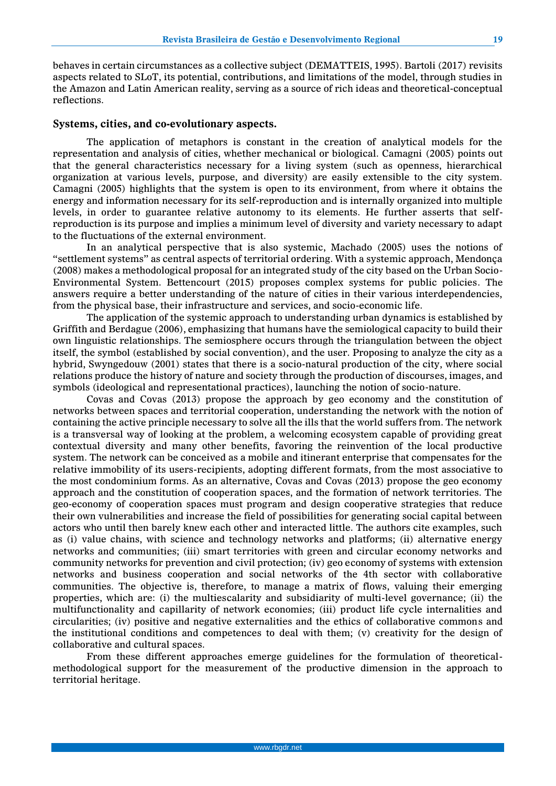behaves in certain circumstances as a collective subject (DEMATTEIS, 1995). Bartoli (2017) revisits aspects related to SLoT, its potential, contributions, and limitations of the model, through studies in the Amazon and Latin American reality, serving as a source of rich ideas and theoretical-conceptual reflections.

#### **Systems, cities, and co-evolutionary aspects.**

The application of metaphors is constant in the creation of analytical models for the representation and analysis of cities, whether mechanical or biological. Camagni (2005) points out that the general characteristics necessary for a living system (such as openness, hierarchical organization at various levels, purpose, and diversity) are easily extensible to the city system. Camagni (2005) highlights that the system is open to its environment, from where it obtains the energy and information necessary for its self-reproduction and is internally organized into multiple levels, in order to guarantee relative autonomy to its elements. He further asserts that selfreproduction is its purpose and implies a minimum level of diversity and variety necessary to adapt to the fluctuations of the external environment.

In an analytical perspective that is also systemic, Machado (2005) uses the notions of "settlement systems" as central aspects of territorial ordering. With a systemic approach, Mendonça (2008) makes a methodological proposal for an integrated study of the city based on the Urban Socio-Environmental System. Bettencourt (2015) proposes complex systems for public policies. The answers require a better understanding of the nature of cities in their various interdependencies, from the physical base, their infrastructure and services, and socio-economic life.

The application of the systemic approach to understanding urban dynamics is established by Griffith and Berdague (2006), emphasizing that humans have the semiological capacity to build their own linguistic relationships. The semiosphere occurs through the triangulation between the object itself, the symbol (established by social convention), and the user. Proposing to analyze the city as a hybrid, Swyngedouw (2001) states that there is a socio-natural production of the city, where social relations produce the history of nature and society through the production of discourses, images, and symbols (ideological and representational practices), launching the notion of socio-nature.

Covas and Covas (2013) propose the approach by geo economy and the constitution of networks between spaces and territorial cooperation, understanding the network with the notion of containing the active principle necessary to solve all the ills that the world suffers from. The network is a transversal way of looking at the problem, a welcoming ecosystem capable of providing great contextual diversity and many other benefits, favoring the reinvention of the local productive system. The network can be conceived as a mobile and itinerant enterprise that compensates for the relative immobility of its users-recipients, adopting different formats, from the most associative to the most condominium forms. As an alternative, Covas and Covas (2013) propose the geo economy approach and the constitution of cooperation spaces, and the formation of network territories. The geo-economy of cooperation spaces must program and design cooperative strategies that reduce their own vulnerabilities and increase the field of possibilities for generating social capital between actors who until then barely knew each other and interacted little. The authors cite examples, such as (i) value chains, with science and technology networks and platforms; (ii) alternative energy networks and communities; (iii) smart territories with green and circular economy networks and community networks for prevention and civil protection; (iv) geo economy of systems with extension networks and business cooperation and social networks of the 4th sector with collaborative communities. The objective is, therefore, to manage a matrix of flows, valuing their emerging properties, which are: (i) the multiescalarity and subsidiarity of multi-level governance; (ii) the multifunctionality and capillarity of network economies; (iii) product life cycle internalities and circularities; (iv) positive and negative externalities and the ethics of collaborative commons and the institutional conditions and competences to deal with them; (v) creativity for the design of collaborative and cultural spaces.

From these different approaches emerge guidelines for the formulation of theoreticalmethodological support for the measurement of the productive dimension in the approach to territorial heritage.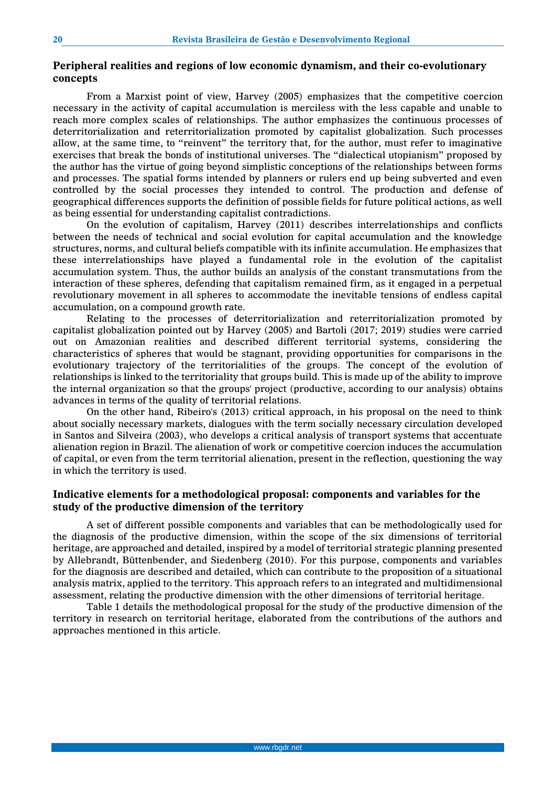## **Peripheral realities and regions of low economic dynamism, and their co-evolutionary concepts**

From a Marxist point of view, Harvey (2005) emphasizes that the competitive coercion necessary in the activity of capital accumulation is merciless with the less capable and unable to reach more complex scales of relationships. The author emphasizes the continuous processes of deterritorialization and reterritorialization promoted by capitalist globalization. Such processes allow, at the same time, to "reinvent" the territory that, for the author, must refer to imaginative exercises that break the bonds of institutional universes. The "dialectical utopianism" proposed by the author has the virtue of going beyond simplistic conceptions of the relationships between forms and processes. The spatial forms intended by planners or rulers end up being subverted and even controlled by the social processes they intended to control. The production and defense of geographical differences supports the definition of possible fields for future political actions, as well as being essential for understanding capitalist contradictions.

On the evolution of capitalism, Harvey (2011) describes interrelationships and conflicts between the needs of technical and social evolution for capital accumulation and the knowledge structures, norms, and cultural beliefs compatible with its infinite accumulation. He emphasizes that these interrelationships have played a fundamental role in the evolution of the capitalist accumulation system. Thus, the author builds an analysis of the constant transmutations from the interaction of these spheres, defending that capitalism remained firm, as it engaged in a perpetual revolutionary movement in all spheres to accommodate the inevitable tensions of endless capital accumulation, on a compound growth rate.

Relating to the processes of deterritorialization and reterritorialization promoted by capitalist globalization pointed out by Harvey (2005) and Bartoli (2017; 2019) studies were carried out on Amazonian realities and described different territorial systems, considering the characteristics of spheres that would be stagnant, providing opportunities for comparisons in the evolutionary trajectory of the territorialities of the groups. The concept of the evolution of relationships is linked to the territoriality that groups build. This is made up of the ability to improve the internal organization so that the groups' project (productive, according to our analysis) obtains advances in terms of the quality of territorial relations.

On the other hand, Ribeiro's (2013) critical approach, in his proposal on the need to think about socially necessary markets, dialogues with the term socially necessary circulation developed in Santos and Silveira (2003), who develops a critical analysis of transport systems that accentuate alienation region in Brazil. The alienation of work or competitive coercion induces the accumulation of capital, or even from the term territorial alienation, present in the reflection, questioning the way in which the territory is used.

## **Indicative elements for a methodological proposal: components and variables for the study of the productive dimension of the territory**

A set of different possible components and variables that can be methodologically used for the diagnosis of the productive dimension, within the scope of the six dimensions of territorial heritage, are approached and detailed, inspired by a model of territorial strategic planning presented by Allebrandt, Büttenbender, and Siedenberg (2010). For this purpose, components and variables for the diagnosis are described and detailed, which can contribute to the proposition of a situational analysis matrix, applied to the territory. This approach refers to an integrated and multidimensional assessment, relating the productive dimension with the other dimensions of territorial heritage.

Table 1 details the methodological proposal for the study of the productive dimension of the territory in research on territorial heritage, elaborated from the contributions of the authors and approaches mentioned in this article.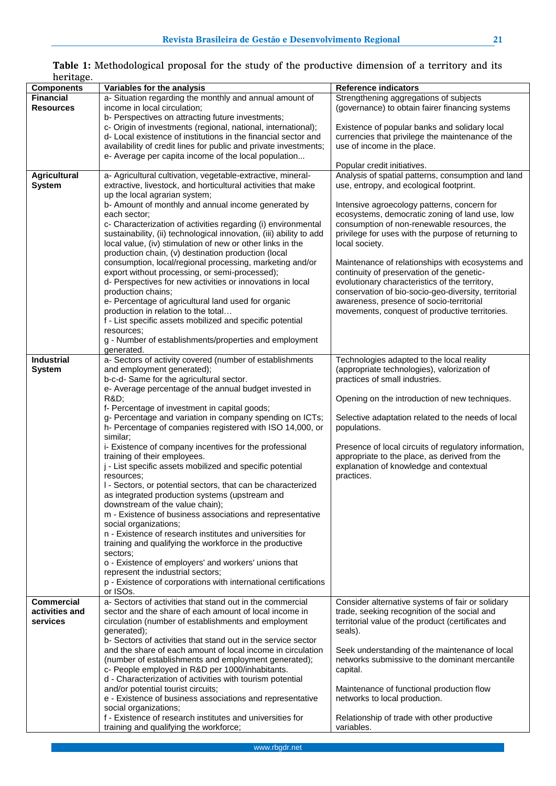| nornago.            |                                                                     |                                                       |
|---------------------|---------------------------------------------------------------------|-------------------------------------------------------|
| <b>Components</b>   | Variables for the analysis                                          | <b>Reference indicators</b>                           |
| <b>Financial</b>    | a- Situation regarding the monthly and annual amount of             | Strengthening aggregations of subjects                |
| <b>Resources</b>    | income in local circulation;                                        | (governance) to obtain fairer financing systems       |
|                     | b- Perspectives on attracting future investments;                   |                                                       |
|                     | c- Origin of investments (regional, national, international);       | Existence of popular banks and solidary local         |
|                     |                                                                     |                                                       |
|                     | d- Local existence of institutions in the financial sector and      | currencies that privilege the maintenance of the      |
|                     | availability of credit lines for public and private investments;    | use of income in the place.                           |
|                     | e- Average per capita income of the local population                |                                                       |
|                     |                                                                     | Popular credit initiatives.                           |
|                     |                                                                     |                                                       |
| <b>Agricultural</b> | a- Agricultural cultivation, vegetable-extractive, mineral-         | Analysis of spatial patterns, consumption and land    |
| <b>System</b>       | extractive, livestock, and horticultural activities that make       | use, entropy, and ecological footprint.               |
|                     | up the local agrarian system;                                       |                                                       |
|                     | b- Amount of monthly and annual income generated by                 | Intensive agroecology patterns, concern for           |
|                     | each sector;                                                        | ecosystems, democratic zoning of land use, low        |
|                     | c- Characterization of activities regarding (i) environmental       | consumption of non-renewable resources, the           |
|                     |                                                                     |                                                       |
|                     | sustainability, (ii) technological innovation, (iii) ability to add | privilege for uses with the purpose of returning to   |
|                     | local value, (iv) stimulation of new or other links in the          | local society.                                        |
|                     | production chain, (v) destination production (local                 |                                                       |
|                     | consumption, local/regional processing, marketing and/or            | Maintenance of relationships with ecosystems and      |
|                     | export without processing, or semi-processed);                      | continuity of preservation of the genetic-            |
|                     |                                                                     |                                                       |
|                     | d- Perspectives for new activities or innovations in local          | evolutionary characteristics of the territory,        |
|                     | production chains;                                                  | conservation of bio-socio-geo-diversity, territorial  |
|                     | e- Percentage of agricultural land used for organic                 | awareness, presence of socio-territorial              |
|                     | production in relation to the total                                 | movements, conquest of productive territories.        |
|                     | f - List specific assets mobilized and specific potential           |                                                       |
|                     | resources;                                                          |                                                       |
|                     |                                                                     |                                                       |
|                     | g - Number of establishments/properties and employment              |                                                       |
|                     | generated.                                                          |                                                       |
| <b>Industrial</b>   | a- Sectors of activity covered (number of establishments            | Technologies adapted to the local reality             |
| <b>System</b>       | and employment generated);                                          | (appropriate technologies), valorization of           |
|                     | b-c-d- Same for the agricultural sector.                            | practices of small industries.                        |
|                     | e- Average percentage of the annual budget invested in              |                                                       |
|                     |                                                                     |                                                       |
|                     | <b>R&amp;D</b>                                                      | Opening on the introduction of new techniques.        |
|                     | f- Percentage of investment in capital goods;                       |                                                       |
|                     | g- Percentage and variation in company spending on ICTs;            | Selective adaptation related to the needs of local    |
|                     | h- Percentage of companies registered with ISO 14,000, or           | populations.                                          |
|                     | similar;                                                            |                                                       |
|                     | i- Existence of company incentives for the professional             | Presence of local circuits of regulatory information, |
|                     |                                                                     |                                                       |
|                     | training of their employees.                                        | appropriate to the place, as derived from the         |
|                     | j - List specific assets mobilized and specific potential           | explanation of knowledge and contextual               |
|                     | resources:                                                          | practices.                                            |
|                     | I - Sectors, or potential sectors, that can be characterized        |                                                       |
|                     | as integrated production systems (upstream and                      |                                                       |
|                     | downstream of the value chain);                                     |                                                       |
|                     | m - Existence of business associations and representative           |                                                       |
|                     |                                                                     |                                                       |
|                     | social organizations;                                               |                                                       |
|                     | n - Existence of research institutes and universities for           |                                                       |
|                     | training and qualifying the workforce in the productive             |                                                       |
|                     | sectors:                                                            |                                                       |
|                     | o - Existence of employers' and workers' unions that                |                                                       |
|                     |                                                                     |                                                       |
|                     | represent the industrial sectors;                                   |                                                       |
|                     | p - Existence of corporations with international certifications     |                                                       |
|                     | or ISOs.                                                            |                                                       |
| <b>Commercial</b>   | a- Sectors of activities that stand out in the commercial           | Consider alternative systems of fair or solidary      |
| activities and      | sector and the share of each amount of local income in              | trade, seeking recognition of the social and          |
| services            | circulation (number of establishments and employment                | territorial value of the product (certificates and    |
|                     | generated);                                                         | seals).                                               |
|                     | b- Sectors of activities that stand out in the service sector       |                                                       |
|                     | and the share of each amount of local income in circulation         | Seek understanding of the maintenance of local        |
|                     |                                                                     |                                                       |
|                     | (number of establishments and employment generated);                | networks submissive to the dominant mercantile        |
|                     | c- People employed in R&D per 1000/inhabitants.                     | capital.                                              |
|                     | d - Characterization of activities with tourism potential           |                                                       |
|                     | and/or potential tourist circuits;                                  | Maintenance of functional production flow             |
|                     | e - Existence of business associations and representative           | networks to local production.                         |
|                     | social organizations;                                               |                                                       |
|                     | f - Existence of research institutes and universities for           |                                                       |
|                     |                                                                     | Relationship of trade with other productive           |
|                     | training and qualifying the workforce;                              | variables.                                            |

#### **Table 1:** Methodological proposal for the study of the productive dimension of a territory and its heritage.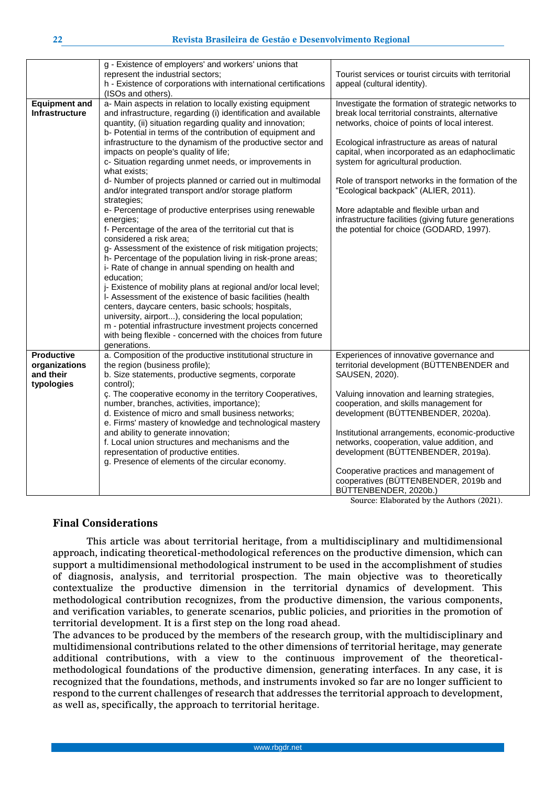|                                                               | g - Existence of employers' and workers' unions that<br>represent the industrial sectors;<br>h - Existence of corporations with international certifications<br>(ISOs and others).                                                                                                                                                                                                                                                                                                                                                                                                                                                                                                                                                                                                                                                                                                                                                                                                                                                                                                                                                                                                                                                                                                                                            | Tourist services or tourist circuits with territorial<br>appeal (cultural identity).                                                                                                                                                                                                                                                                                                                                                                                                                                                          |
|---------------------------------------------------------------|-------------------------------------------------------------------------------------------------------------------------------------------------------------------------------------------------------------------------------------------------------------------------------------------------------------------------------------------------------------------------------------------------------------------------------------------------------------------------------------------------------------------------------------------------------------------------------------------------------------------------------------------------------------------------------------------------------------------------------------------------------------------------------------------------------------------------------------------------------------------------------------------------------------------------------------------------------------------------------------------------------------------------------------------------------------------------------------------------------------------------------------------------------------------------------------------------------------------------------------------------------------------------------------------------------------------------------|-----------------------------------------------------------------------------------------------------------------------------------------------------------------------------------------------------------------------------------------------------------------------------------------------------------------------------------------------------------------------------------------------------------------------------------------------------------------------------------------------------------------------------------------------|
| <b>Equipment and</b><br><b>Infrastructure</b>                 | a- Main aspects in relation to locally existing equipment<br>and infrastructure, regarding (i) identification and available<br>quantity, (ii) situation regarding quality and innovation;<br>b- Potential in terms of the contribution of equipment and<br>infrastructure to the dynamism of the productive sector and<br>impacts on people's quality of life;<br>c- Situation regarding unmet needs, or improvements in<br>what exists:<br>d- Number of projects planned or carried out in multimodal<br>and/or integrated transport and/or storage platform<br>strategies;<br>e- Percentage of productive enterprises using renewable<br>energies;<br>f- Percentage of the area of the territorial cut that is<br>considered a risk area;<br>g- Assessment of the existence of risk mitigation projects;<br>h- Percentage of the population living in risk-prone areas;<br>i- Rate of change in annual spending on health and<br>education;<br>j- Existence of mobility plans at regional and/or local level;<br>I- Assessment of the existence of basic facilities (health<br>centers, daycare centers, basic schools; hospitals,<br>university, airport), considering the local population;<br>m - potential infrastructure investment projects concerned<br>with being flexible - concerned with the choices from future | Investigate the formation of strategic networks to<br>break local territorial constraints, alternative<br>networks, choice of points of local interest.<br>Ecological infrastructure as areas of natural<br>capital, when incorporated as an edaphoclimatic<br>system for agricultural production.<br>Role of transport networks in the formation of the<br>"Ecological backpack" (ALIER, 2011).<br>More adaptable and flexible urban and<br>infrastructure facilities (giving future generations<br>the potential for choice (GODARD, 1997). |
| <b>Productive</b><br>organizations<br>and their<br>typologies | generations.<br>a. Composition of the productive institutional structure in<br>the region (business profile);<br>b. Size statements, productive segments, corporate<br>control);<br>c. The cooperative economy in the territory Cooperatives,<br>number, branches, activities, importance);<br>d. Existence of micro and small business networks;<br>e. Firms' mastery of knowledge and technological mastery<br>and ability to generate innovation;<br>f. Local union structures and mechanisms and the<br>representation of productive entities.<br>g. Presence of elements of the circular economy.                                                                                                                                                                                                                                                                                                                                                                                                                                                                                                                                                                                                                                                                                                                        | Experiences of innovative governance and<br>territorial development (BÜTTENBENDER and<br>SAUSEN, 2020).<br>Valuing innovation and learning strategies,<br>cooperation, and skills management for<br>development (BÜTTENBENDER, 2020a).<br>Institutional arrangements, economic-productive<br>networks, cooperation, value addition, and<br>development (BÜTTENBENDER, 2019a).<br>Cooperative practices and management of<br>cooperatives (BÜTTENBENDER, 2019b and<br>BÜTTENBENDER, 2020b.)                                                    |

Source: Elaborated by the Authors (2021).

## **Final Considerations**

This article was about territorial heritage, from a multidisciplinary and multidimensional approach, indicating theoretical-methodological references on the productive dimension, which can support a multidimensional methodological instrument to be used in the accomplishment of studies of diagnosis, analysis, and territorial prospection. The main objective was to theoretically contextualize the productive dimension in the territorial dynamics of development. This methodological contribution recognizes, from the productive dimension, the various components, and verification variables, to generate scenarios, public policies, and priorities in the promotion of territorial development. It is a first step on the long road ahead.

The advances to be produced by the members of the research group, with the multidisciplinary and multidimensional contributions related to the other dimensions of territorial heritage, may generate additional contributions, with a view to the continuous improvement of the theoreticalmethodological foundations of the productive dimension, generating interfaces. In any case, it is recognized that the foundations, methods, and instruments invoked so far are no longer sufficient to respond to the current challenges of research that addresses the territorial approach to development, as well as, specifically, the approach to territorial heritage.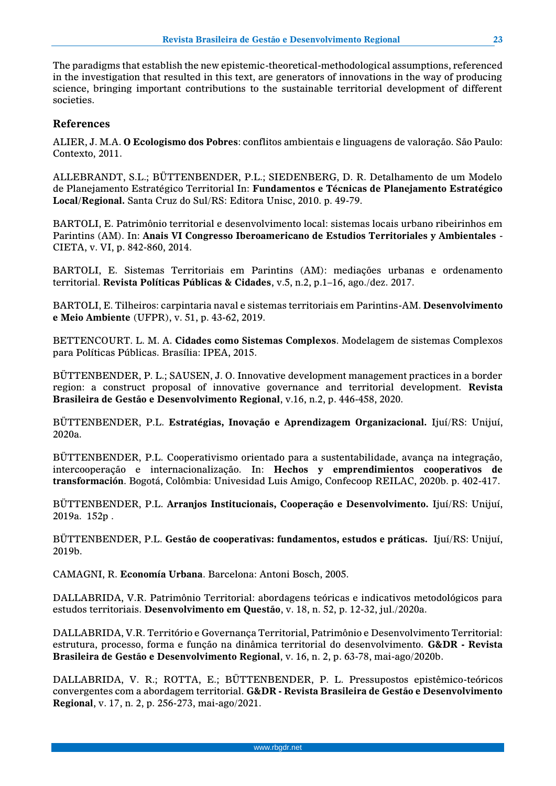The paradigms that establish the new epistemic-theoretical-methodological assumptions, referenced in the investigation that resulted in this text, are generators of innovations in the way of producing science, bringing important contributions to the sustainable territorial development of different societies.

#### **References**

ALIER, J. M.A. **O Ecologismo dos Pobres**: conflitos ambientais e linguagens de valoração. São Paulo: Contexto, 2011.

ALLEBRANDT, S.L.; BÜTTENBENDER, P.L.; SIEDENBERG, D. R. Detalhamento de um Modelo de Planejamento Estratégico Territorial In: **Fundamentos e Técnicas de Planejamento Estratégico Local/Regional.** Santa Cruz do Sul/RS: Editora Unisc, 2010. p. 49-79.

BARTOLI, E. Patrimônio territorial e desenvolvimento local: sistemas locais urbano ribeirinhos em Parintins (AM). In: **Anais VI Congresso Iberoamericano de Estudios Territoriales y Ambientales** - CIETA, v. VI, p. 842-860, 2014.

BARTOLI, E. Sistemas Territoriais em Parintins (AM): mediações urbanas e ordenamento territorial. **Revista Políticas Públicas & Cidades**, v.5, n.2, p.1–16, ago./dez. 2017.

BARTOLI, E. Tilheiros: carpintaria naval e sistemas territoriais em Parintins-AM. **Desenvolvimento e Meio Ambiente** (UFPR), v. 51, p. 43-62, 2019.

BETTENCOURT. L. M. A. **Cidades como Sistemas Complexos**. Modelagem de sistemas Complexos para Políticas Públicas. Brasília: IPEA, 2015.

BÜTTENBENDER, P. L.; SAUSEN, J. O. Innovative development management practices in a border region: a construct proposal of innovative governance and territorial development. **Revista Brasileira de Gestão e Desenvolvimento Regional**, v.16, n.2, p. 446-458, 2020.

BÜTTENBENDER, P.L. **Estratégias, Inovação e Aprendizagem Organizacional.** Ijuí/RS: Unijuí, 2020a.

BÜTTENBENDER, P.L. Cooperativismo orientado para a sustentabilidade, avança na integração, intercooperação e internacionalização. In: **Hechos y emprendimientos cooperativos de transformación**. Bogotá, Colômbia: Univesidad Luis Amigo, Confecoop REILAC, 2020b. p. 402-417.

BÜTTENBENDER, P.L. **Arranjos Institucionais, Cooperação e Desenvolvimento.** Ijuí/RS: Unijuí, 2019a. 152p .

BÜTTENBENDER, P.L. **Gestão de cooperativas: fundamentos, estudos e práticas.** Ijuí/RS: Unijuí, 2019b.

CAMAGNI, R. **Economía Urbana**. Barcelona: Antoni Bosch, 2005.

DALLABRIDA, V.R. Patrimônio Territorial: abordagens teóricas e indicativos metodológicos para estudos territoriais. **Desenvolvimento em Questão**, v. 18, n. 52, p. 12-32, jul./2020a.

DALLABRIDA, V.R. Território e Governança Territorial, Patrimônio e Desenvolvimento Territorial: estrutura, processo, forma e função na dinâmica territorial do desenvolvimento. **G&DR - Revista Brasileira de Gestão e Desenvolvimento Regional**, v. 16, n. 2, p. 63-78, mai-ago/2020b.

DALLABRIDA, V. R.; ROTTA, E.; BÜTTENBENDER, P. L. Pressupostos epistêmico-teóricos convergentes com a abordagem territorial. **G&DR - Revista Brasileira de Gestão e Desenvolvimento Regional**, v. 17, n. 2, p. 256-273, mai-ago/2021.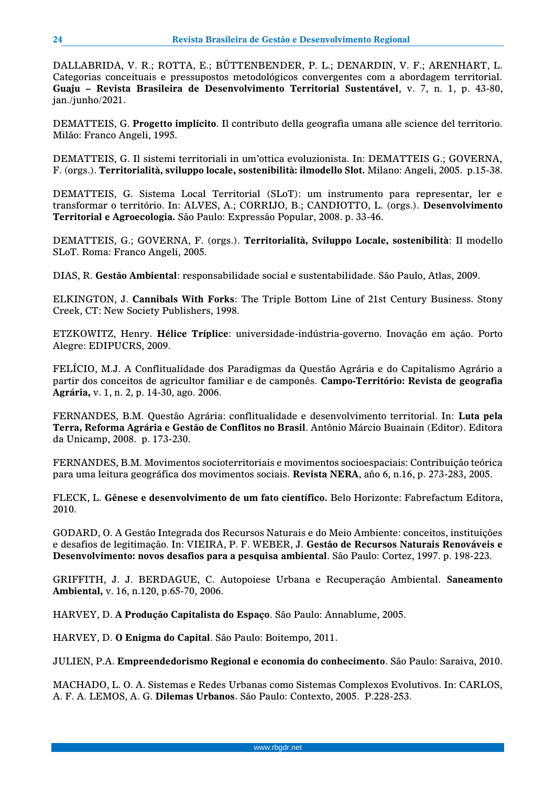DALLABRIDA, V. R.; ROTTA, E.; BÜTTENBENDER, P. L.; DENARDIN, V. F.; ARENHART, L. Categorias conceituais e pressupostos metodológicos convergentes com a abordagem territorial. **Guaju – Revista Brasileira de Desenvolvimento Territorial Sustentável**, v. 7, n. 1, p. 43-80, jan./junho/2021.

DEMATTEIS, G. **Progetto implícito**. Il contributo della geografia umana alle science del territorio. Milão: Franco Angeli, 1995.

DEMATTEIS, G. Il sistemi territoriali in um'ottica evoluzionista. In: DEMATTEIS G.; GOVERNA, F. (orgs.). **Territorialità, sviluppo locale, sostenibilità: ilmodello Slot.** Milano: Angeli, 2005. p.15-38.

DEMATTEIS, G. Sistema Local Territorial (SLoT): um instrumento para representar, ler e transformar o território. In: ALVES, A.; CORRIJO, B.; CANDIOTTO, L. (orgs.). **Desenvolvimento Territorial e Agroecologia.** São Paulo: Expressão Popular, 2008. p. 33-46.

DEMATTEIS, G.; GOVERNA, F. (orgs.). **Territorialità, Sviluppo Locale, sostenibilità**: Il modello SLoT. Roma: Franco Angeli, 2005.

DIAS, R. **Gestão Ambiental**: responsabilidade social e sustentabilidade. São Paulo, Atlas, 2009.

ELKINGTON, J. **Cannibals With Forks**: The Triple Bottom Line of 21st Century Business. Stony Creek, CT: New Society Publishers, 1998.

ETZKOWITZ, Henry. **Hélice Tríplice**: universidade-indústria-governo. Inovação em ação. Porto Alegre: EDIPUCRS, 2009.

FELÍCIO, M.J. A Conflitualidade dos Paradigmas da Questão Agrária e do Capitalismo Agrário a partir dos conceitos de agricultor familiar e de camponês. **Campo-Território: Revista de geografia Agrária,** v. 1, n. 2, p. 14-30, ago. 2006.

FERNANDES, B.M. Questão Agrária: conflitualidade e desenvolvimento territorial. In: **Luta pela Terra, Reforma Agrária e Gestão de Conflitos no Brasil**. Antônio Márcio Buainain (Editor). Editora da Unicamp, 2008. p. 173-230.

FERNANDES, B.M. Movimentos socioterritoriais e movimentos socioespaciais: Contribuição teórica para uma leitura geográfica dos movimentos sociais. **Revista NERA**, año 6, n.16, p. 273-283, 2005.

FLECK, L. **Gênese e desenvolvimento de um fato científico.** Belo Horizonte: Fabrefactum Editora, 2010.

GODARD, O. A Gestão Integrada dos Recursos Naturais e do Meio Ambiente: conceitos, instituições e desafios de legitimação. In: VIEIRA, P. F. WEBER, J. **Gestão de Recursos Naturais Renováveis e Desenvolvimento: novos desafios para a pesquisa ambiental**. São Paulo: Cortez, 1997. p. 198-223.

GRIFFITH, J. J. BERDAGUE, C. Autopoiese Urbana e Recuperação Ambiental. **Saneamento Ambiental,** v. 16, n.120, p.65-70, 2006.

HARVEY, D. **A Produção Capitalista do Espaço**. São Paulo: Annablume, 2005.

HARVEY, D. **O Enigma do Capital**. São Paulo: Boitempo, 2011.

JULIEN, P.A. **Empreendedorismo Regional e economia do conhecimento**. São Paulo: Saraiva, 2010.

MACHADO, L. O. A. Sistemas e Redes Urbanas como Sistemas Complexos Evolutivos. In: CARLOS, A. F. A. LEMOS, A. G. **Dilemas Urbanos**. São Paulo: Contexto, 2005. P.228-253.